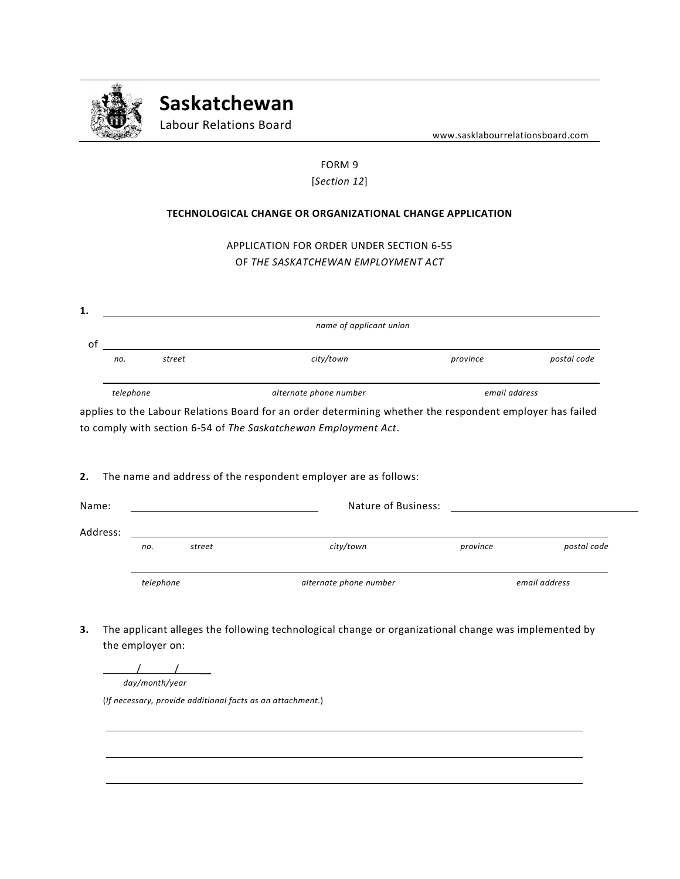

**Saskatchewan**

Labour Relations Board

www.sasklabourrelationsboard.com

## FORM 9 [*Section 12*]

## **TECHNOLOGICAL CHANGE OR ORGANIZATIONAL CHANGE APPLICATION**

APPLICATION FOR ORDER UNDER SECTION 6-55 OF *THE SASKATCHEWAN EMPLOYMENT ACT*

| 1.                      |           |        |                        |               |             |  |
|-------------------------|-----------|--------|------------------------|---------------|-------------|--|
| name of applicant union |           |        |                        |               |             |  |
| O1                      |           |        |                        |               |             |  |
|                         | no.       | street | city/town              | province      | postal code |  |
|                         |           |        |                        |               |             |  |
|                         | telephone |        | alternate phone number | email address |             |  |

applies to the Labour Relations Board for an order determining whether the respondent employer has failed to comply with section 6-54 of *The Saskatchewan Employment Act*.

**2.** The name and address of the respondent employer are as follows:

| Name:    |           |        | Nature of Business:    |          |               |  |
|----------|-----------|--------|------------------------|----------|---------------|--|
| Address: |           |        |                        |          |               |  |
|          | no.       | street | city/town              | province | postal code   |  |
|          | telephone |        | alternate phone number |          | email address |  |

**3.** The applicant alleges the following technological change or organizational change was implemented by the employer on:

 / / \_\_ *day/month/year*

(*If necessary, provide additional facts as an attachment*.)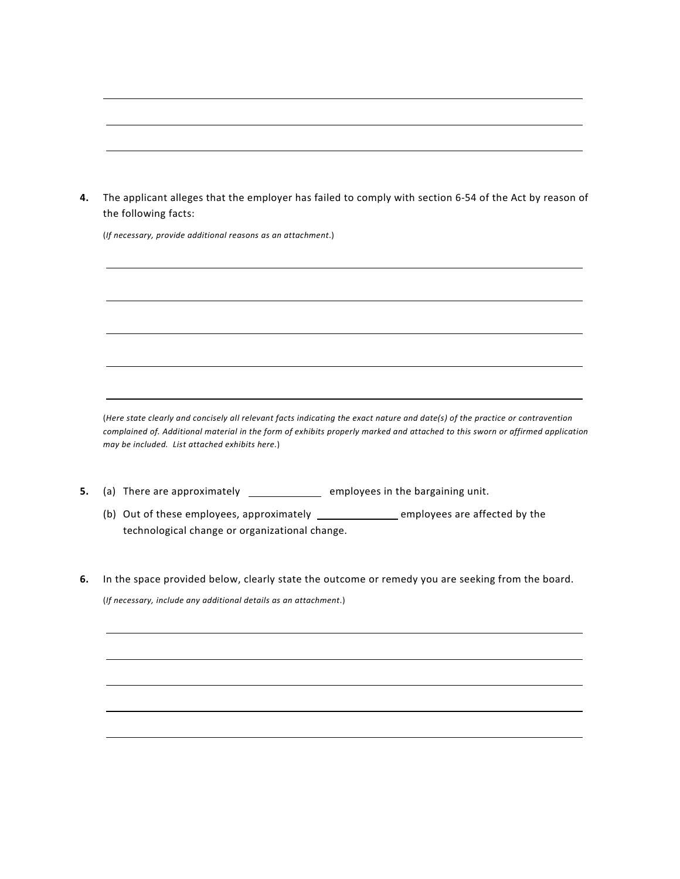**4.** The applicant alleges that the employer has failed to comply with section 6-54 of the Act by reason of the following facts:

(*If necessary, provide additional reasons as an attachment*.)

(*Here state clearly and concisely all relevant facts indicating the exact nature and date(s) of the practice or contravention complained of. Additional material in the form of exhibits properly marked and attached to this sworn or affirmed application may be included. List attached exhibits here.*)

- **5.** (a) There are approximately \_\_\_\_\_\_\_\_\_\_\_\_\_\_\_\_ employees in the bargaining unit.
	- (b) Out of these employees, approximately employees are affected by the technological change or organizational change.
- **6.** In the space provided below, clearly state the outcome or remedy you are seeking from the board. (*If necessary, include any additional details as an attachment*.)